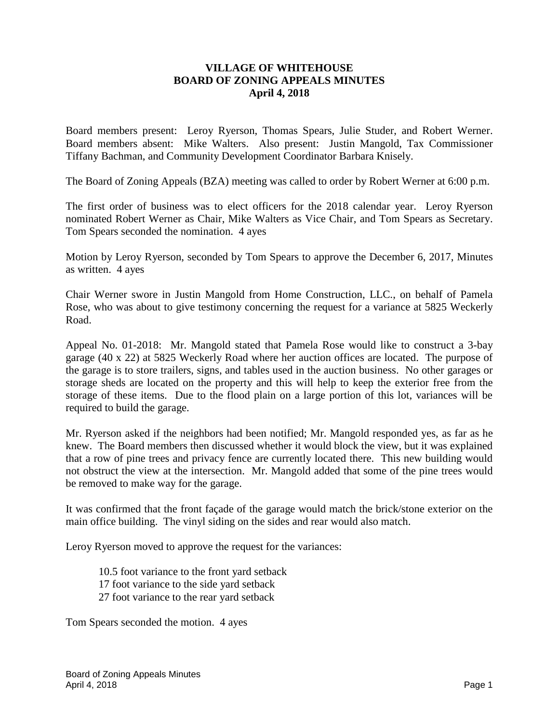## **VILLAGE OF WHITEHOUSE BOARD OF ZONING APPEALS MINUTES April 4, 2018**

Board members present: Leroy Ryerson, Thomas Spears, Julie Studer, and Robert Werner. Board members absent: Mike Walters. Also present: Justin Mangold, Tax Commissioner Tiffany Bachman, and Community Development Coordinator Barbara Knisely.

The Board of Zoning Appeals (BZA) meeting was called to order by Robert Werner at 6:00 p.m.

The first order of business was to elect officers for the 2018 calendar year. Leroy Ryerson nominated Robert Werner as Chair, Mike Walters as Vice Chair, and Tom Spears as Secretary. Tom Spears seconded the nomination. 4 ayes

Motion by Leroy Ryerson, seconded by Tom Spears to approve the December 6, 2017, Minutes as written. 4 ayes

Chair Werner swore in Justin Mangold from Home Construction, LLC., on behalf of Pamela Rose, who was about to give testimony concerning the request for a variance at 5825 Weckerly Road.

Appeal No. 01-2018: Mr. Mangold stated that Pamela Rose would like to construct a 3-bay garage (40 x 22) at 5825 Weckerly Road where her auction offices are located. The purpose of the garage is to store trailers, signs, and tables used in the auction business. No other garages or storage sheds are located on the property and this will help to keep the exterior free from the storage of these items. Due to the flood plain on a large portion of this lot, variances will be required to build the garage.

Mr. Ryerson asked if the neighbors had been notified; Mr. Mangold responded yes, as far as he knew. The Board members then discussed whether it would block the view, but it was explained that a row of pine trees and privacy fence are currently located there. This new building would not obstruct the view at the intersection. Mr. Mangold added that some of the pine trees would be removed to make way for the garage.

It was confirmed that the front façade of the garage would match the brick/stone exterior on the main office building. The vinyl siding on the sides and rear would also match.

Leroy Ryerson moved to approve the request for the variances:

10.5 foot variance to the front yard setback

17 foot variance to the side yard setback

27 foot variance to the rear yard setback

Tom Spears seconded the motion. 4 ayes